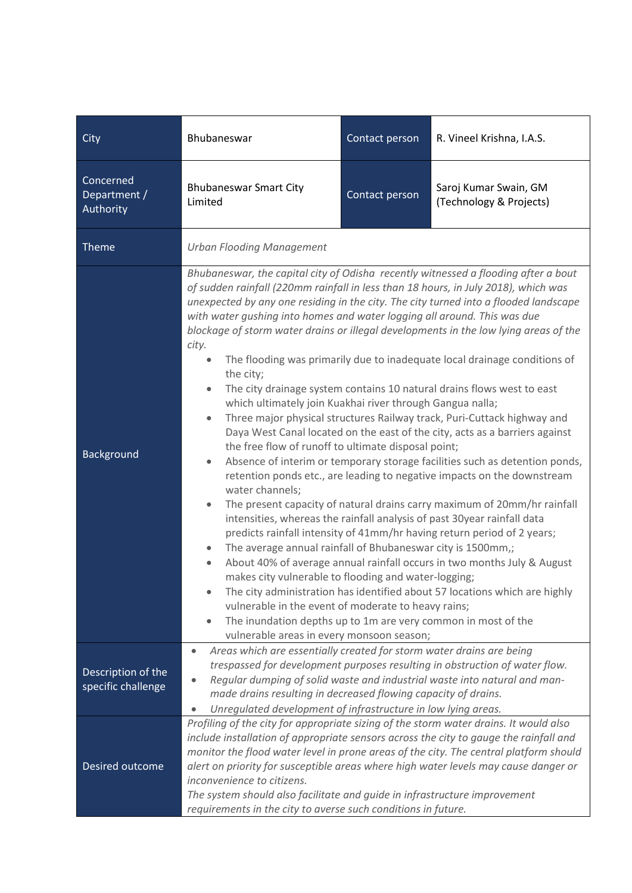| City                                     | Bhubaneswar                                                                                                                                                                                                                                                                                                                                                                                                                                                                                                                                                                                                                                                                                                                                                                                                                                                                                                                                                                                                                                                                                                                                                                                                                                                                                                                                                                                                                                                                                                                                                                                                                                                                                                                                                                                                    | Contact person | R. Vineel Krishna, I.A.S.                        |
|------------------------------------------|----------------------------------------------------------------------------------------------------------------------------------------------------------------------------------------------------------------------------------------------------------------------------------------------------------------------------------------------------------------------------------------------------------------------------------------------------------------------------------------------------------------------------------------------------------------------------------------------------------------------------------------------------------------------------------------------------------------------------------------------------------------------------------------------------------------------------------------------------------------------------------------------------------------------------------------------------------------------------------------------------------------------------------------------------------------------------------------------------------------------------------------------------------------------------------------------------------------------------------------------------------------------------------------------------------------------------------------------------------------------------------------------------------------------------------------------------------------------------------------------------------------------------------------------------------------------------------------------------------------------------------------------------------------------------------------------------------------------------------------------------------------------------------------------------------------|----------------|--------------------------------------------------|
| Concerned<br>Department /<br>Authority   | <b>Bhubaneswar Smart City</b><br>Limited                                                                                                                                                                                                                                                                                                                                                                                                                                                                                                                                                                                                                                                                                                                                                                                                                                                                                                                                                                                                                                                                                                                                                                                                                                                                                                                                                                                                                                                                                                                                                                                                                                                                                                                                                                       | Contact person | Saroj Kumar Swain, GM<br>(Technology & Projects) |
| <b>Theme</b>                             | <b>Urban Flooding Management</b>                                                                                                                                                                                                                                                                                                                                                                                                                                                                                                                                                                                                                                                                                                                                                                                                                                                                                                                                                                                                                                                                                                                                                                                                                                                                                                                                                                                                                                                                                                                                                                                                                                                                                                                                                                               |                |                                                  |
| <b>Background</b>                        | Bhubaneswar, the capital city of Odisha recently witnessed a flooding after a bout<br>of sudden rainfall (220mm rainfall in less than 18 hours, in July 2018), which was<br>unexpected by any one residing in the city. The city turned into a flooded landscape<br>with water gushing into homes and water logging all around. This was due<br>blockage of storm water drains or illegal developments in the low lying areas of the<br>city.<br>The flooding was primarily due to inadequate local drainage conditions of<br>$\bullet$<br>the city;<br>The city drainage system contains 10 natural drains flows west to east<br>$\bullet$<br>which ultimately join Kuakhai river through Gangua nalla;<br>Three major physical structures Railway track, Puri-Cuttack highway and<br>$\bullet$<br>Daya West Canal located on the east of the city, acts as a barriers against<br>the free flow of runoff to ultimate disposal point;<br>Absence of interim or temporary storage facilities such as detention ponds,<br>$\bullet$<br>retention ponds etc., are leading to negative impacts on the downstream<br>water channels;<br>The present capacity of natural drains carry maximum of 20mm/hr rainfall<br>۰<br>intensities, whereas the rainfall analysis of past 30year rainfall data<br>predicts rainfall intensity of 41mm/hr having return period of 2 years;<br>The average annual rainfall of Bhubaneswar city is 1500mm,;<br>٠<br>About 40% of average annual rainfall occurs in two months July & August<br>$\bullet$<br>makes city vulnerable to flooding and water-logging;<br>The city administration has identified about 57 locations which are highly<br>vulnerable in the event of moderate to heavy rains;<br>The inundation depths up to 1m are very common in most of the<br>$\bullet$ |                |                                                  |
| Description of the<br>specific challenge | vulnerable areas in every monsoon season;<br>Areas which are essentially created for storm water drains are being<br>$\bullet$<br>trespassed for development purposes resulting in obstruction of water flow.<br>Regular dumping of solid waste and industrial waste into natural and man-<br>made drains resulting in decreased flowing capacity of drains.<br>Unregulated development of infrastructure in low lying areas.<br>$\bullet$                                                                                                                                                                                                                                                                                                                                                                                                                                                                                                                                                                                                                                                                                                                                                                                                                                                                                                                                                                                                                                                                                                                                                                                                                                                                                                                                                                     |                |                                                  |
| Desired outcome                          | Profiling of the city for appropriate sizing of the storm water drains. It would also<br>include installation of appropriate sensors across the city to gauge the rainfall and<br>monitor the flood water level in prone areas of the city. The central platform should<br>alert on priority for susceptible areas where high water levels may cause danger or<br>inconvenience to citizens.<br>The system should also facilitate and guide in infrastructure improvement<br>requirements in the city to averse such conditions in future.                                                                                                                                                                                                                                                                                                                                                                                                                                                                                                                                                                                                                                                                                                                                                                                                                                                                                                                                                                                                                                                                                                                                                                                                                                                                     |                |                                                  |